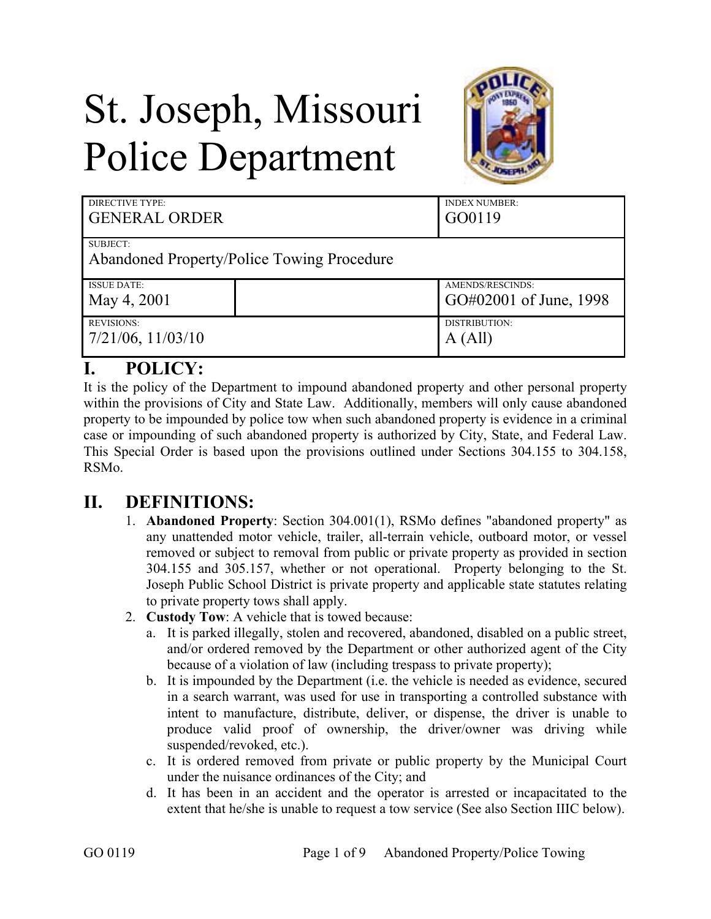# St. Joseph, Missouri Police Department



| DIRECTIVE TYPE:<br><b>GENERAL ORDER</b>                |  | <b>INDEX NUMBER:</b><br>GO0119             |
|--------------------------------------------------------|--|--------------------------------------------|
| SUBJECT:<br>Abandoned Property/Police Towing Procedure |  |                                            |
| <b>ISSUE DATE:</b><br>May 4, 2001                      |  | AMENDS/RESCINDS:<br>GO#02001 of June, 1998 |
| <b>REVISIONS:</b><br>$7/21/06$ , $11/03/10$            |  | DISTRIBUTION:<br>A (All)                   |

# **I. POLICY:**

It is the policy of the Department to impound abandoned property and other personal property within the provisions of City and State Law. Additionally, members will only cause abandoned property to be impounded by police tow when such abandoned property is evidence in a criminal case or impounding of such abandoned property is authorized by City, State, and Federal Law. This Special Order is based upon the provisions outlined under Sections 304.155 to 304.158, RSMo.

# **II. DEFINITIONS:**

- 1. **Abandoned Property**: Section 304.001(1), RSMo defines "abandoned property" as any unattended motor vehicle, trailer, all-terrain vehicle, outboard motor, or vessel removed or subject to removal from public or private property as provided in section 304.155 and 305.157, whether or not operational. Property belonging to the St. Joseph Public School District is private property and applicable state statutes relating to private property tows shall apply.
- 2. **Custody Tow**: A vehicle that is towed because:
	- a. It is parked illegally, stolen and recovered, abandoned, disabled on a public street, and/or ordered removed by the Department or other authorized agent of the City because of a violation of law (including trespass to private property);
	- b. It is impounded by the Department (i.e. the vehicle is needed as evidence, secured in a search warrant, was used for use in transporting a controlled substance with intent to manufacture, distribute, deliver, or dispense, the driver is unable to produce valid proof of ownership, the driver/owner was driving while suspended/revoked, etc.).
	- c. It is ordered removed from private or public property by the Municipal Court under the nuisance ordinances of the City; and
	- d. It has been in an accident and the operator is arrested or incapacitated to the extent that he/she is unable to request a tow service (See also Section IIIC below).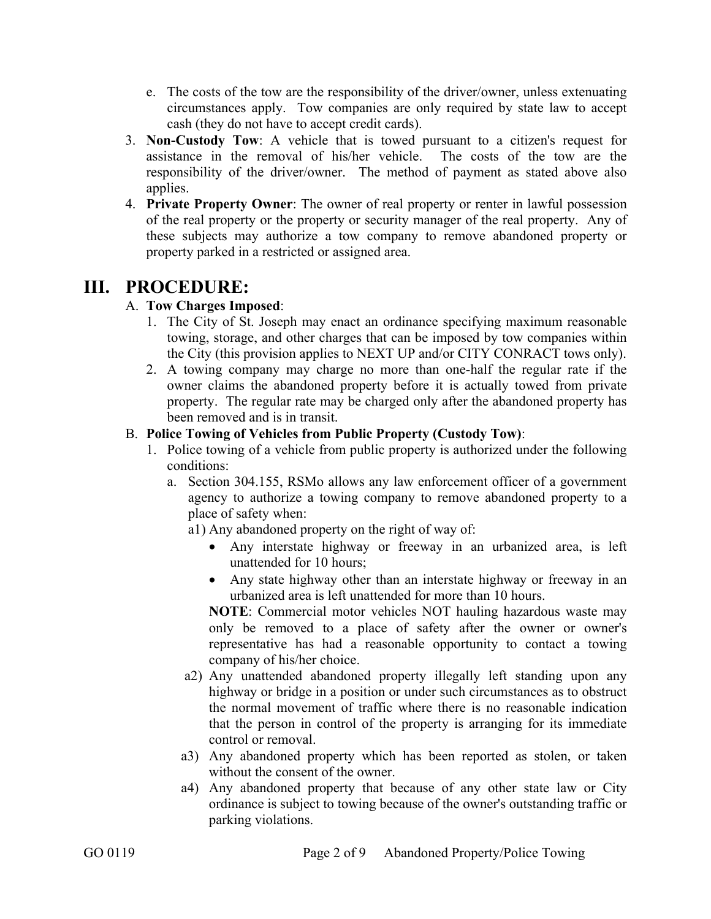- e. The costs of the tow are the responsibility of the driver/owner, unless extenuating circumstances apply. Tow companies are only required by state law to accept cash (they do not have to accept credit cards).
- 3. **Non-Custody Tow**: A vehicle that is towed pursuant to a citizen's request for assistance in the removal of his/her vehicle. The costs of the tow are the responsibility of the driver/owner. The method of payment as stated above also applies.
- 4. **Private Property Owner**: The owner of real property or renter in lawful possession of the real property or the property or security manager of the real property. Any of these subjects may authorize a tow company to remove abandoned property or property parked in a restricted or assigned area.

# **III. PROCEDURE:**

## A. **Tow Charges Imposed**:

- 1. The City of St. Joseph may enact an ordinance specifying maximum reasonable towing, storage, and other charges that can be imposed by tow companies within the City (this provision applies to NEXT UP and/or CITY CONRACT tows only).
- 2. A towing company may charge no more than one-half the regular rate if the owner claims the abandoned property before it is actually towed from private property. The regular rate may be charged only after the abandoned property has been removed and is in transit.

## B. **Police Towing of Vehicles from Public Property (Custody Tow)**:

- 1. Police towing of a vehicle from public property is authorized under the following conditions:
	- a. Section 304.155, RSMo allows any law enforcement officer of a government agency to authorize a towing company to remove abandoned property to a place of safety when:
		- a1) Any abandoned property on the right of way of:
			- Any interstate highway or freeway in an urbanized area, is left unattended for 10 hours;
			- Any state highway other than an interstate highway or freeway in an urbanized area is left unattended for more than 10 hours.

**NOTE**: Commercial motor vehicles NOT hauling hazardous waste may only be removed to a place of safety after the owner or owner's representative has had a reasonable opportunity to contact a towing company of his/her choice.

- a2) Any unattended abandoned property illegally left standing upon any highway or bridge in a position or under such circumstances as to obstruct the normal movement of traffic where there is no reasonable indication that the person in control of the property is arranging for its immediate control or removal.
- a3) Any abandoned property which has been reported as stolen, or taken without the consent of the owner.
- a4) Any abandoned property that because of any other state law or City ordinance is subject to towing because of the owner's outstanding traffic or parking violations.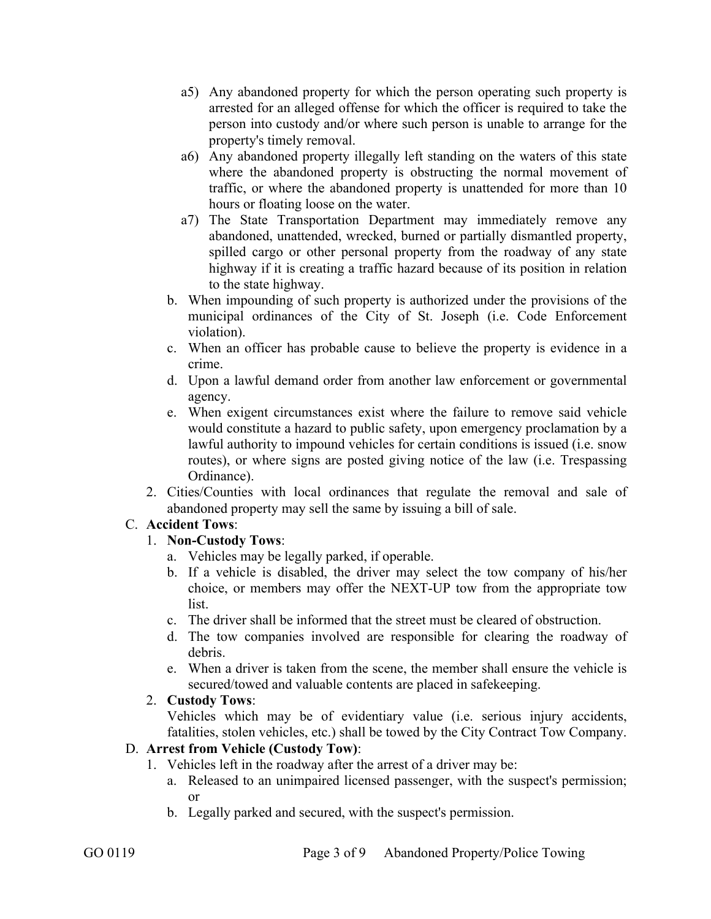- a5) Any abandoned property for which the person operating such property is arrested for an alleged offense for which the officer is required to take the person into custody and/or where such person is unable to arrange for the property's timely removal.
- a6) Any abandoned property illegally left standing on the waters of this state where the abandoned property is obstructing the normal movement of traffic, or where the abandoned property is unattended for more than 10 hours or floating loose on the water.
- a7) The State Transportation Department may immediately remove any abandoned, unattended, wrecked, burned or partially dismantled property, spilled cargo or other personal property from the roadway of any state highway if it is creating a traffic hazard because of its position in relation to the state highway.
- b. When impounding of such property is authorized under the provisions of the municipal ordinances of the City of St. Joseph (i.e. Code Enforcement violation).
- c. When an officer has probable cause to believe the property is evidence in a crime.
- d. Upon a lawful demand order from another law enforcement or governmental agency.
- e. When exigent circumstances exist where the failure to remove said vehicle would constitute a hazard to public safety, upon emergency proclamation by a lawful authority to impound vehicles for certain conditions is issued (i.e. snow routes), or where signs are posted giving notice of the law (i.e. Trespassing Ordinance).
- 2. Cities/Counties with local ordinances that regulate the removal and sale of abandoned property may sell the same by issuing a bill of sale.

#### C. **Accident Tows**:

#### 1. **Non-Custody Tows**:

- a. Vehicles may be legally parked, if operable.
- b. If a vehicle is disabled, the driver may select the tow company of his/her choice, or members may offer the NEXT-UP tow from the appropriate tow list.
- c. The driver shall be informed that the street must be cleared of obstruction.
- d. The tow companies involved are responsible for clearing the roadway of debris.
- e. When a driver is taken from the scene, the member shall ensure the vehicle is secured/towed and valuable contents are placed in safekeeping.

#### 2. **Custody Tows**:

Vehicles which may be of evidentiary value (i.e. serious injury accidents, fatalities, stolen vehicles, etc.) shall be towed by the City Contract Tow Company.

#### D. **Arrest from Vehicle (Custody Tow)**:

- 1. Vehicles left in the roadway after the arrest of a driver may be:
	- a. Released to an unimpaired licensed passenger, with the suspect's permission; or
	- b. Legally parked and secured, with the suspect's permission.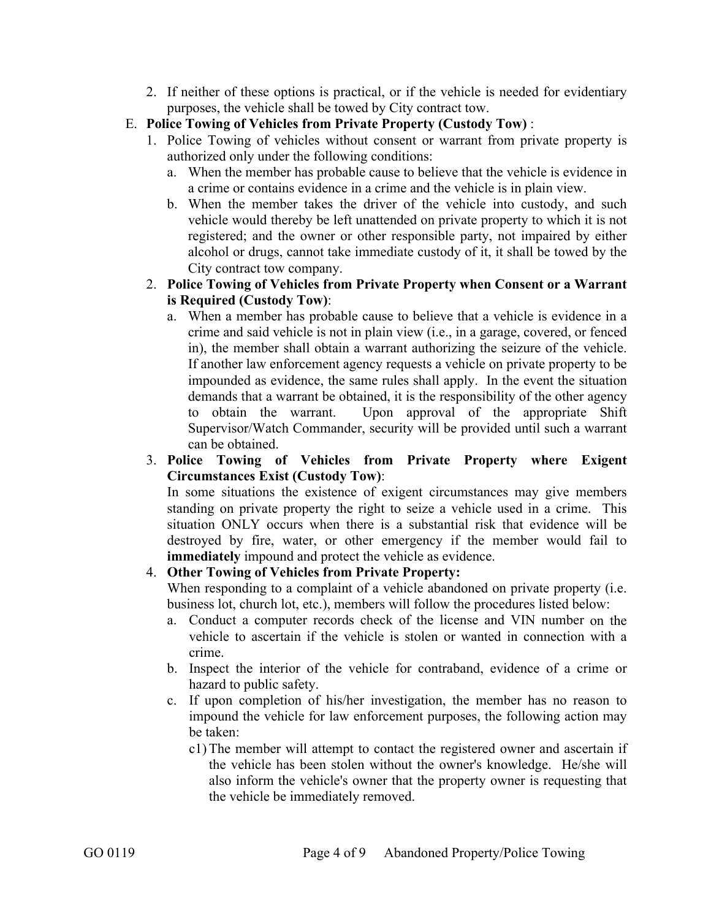- 2. If neither of these options is practical, or if the vehicle is needed for evidentiary purposes, the vehicle shall be towed by City contract tow.
- E. **Police Towing of Vehicles from Private Property (Custody Tow)** :
	- 1. Police Towing of vehicles without consent or warrant from private property is authorized only under the following conditions:
		- a. When the member has probable cause to believe that the vehicle is evidence in a crime or contains evidence in a crime and the vehicle is in plain view.
		- b. When the member takes the driver of the vehicle into custody, and such vehicle would thereby be left unattended on private property to which it is not registered; and the owner or other responsible party, not impaired by either alcohol or drugs, cannot take immediate custody of it, it shall be towed by the City contract tow company.
	- 2. **Police Towing of Vehicles from Private Property when Consent or a Warrant is Required (Custody Tow)**:
		- a. When a member has probable cause to believe that a vehicle is evidence in a crime and said vehicle is not in plain view (i.e., in a garage, covered, or fenced in), the member shall obtain a warrant authorizing the seizure of the vehicle. If another law enforcement agency requests a vehicle on private property to be impounded as evidence, the same rules shall apply. In the event the situation demands that a warrant be obtained, it is the responsibility of the other agency to obtain the warrant. Upon approval of the appropriate Shift Supervisor/Watch Commander, security will be provided until such a warrant can be obtained.
	- 3. **Police Towing of Vehicles from Private Property where Exigent Circumstances Exist (Custody Tow)**:

In some situations the existence of exigent circumstances may give members standing on private property the right to seize a vehicle used in a crime. This situation ONLY occurs when there is a substantial risk that evidence will be destroyed by fire, water, or other emergency if the member would fail to **immediately** impound and protect the vehicle as evidence.

## 4. **Other Towing of Vehicles from Private Property:**

When responding to a complaint of a vehicle abandoned on private property (i.e. business lot, church lot, etc.), members will follow the procedures listed below:

- a. Conduct a computer records check of the license and VIN number on the vehicle to ascertain if the vehicle is stolen or wanted in connection with a crime.
- b. Inspect the interior of the vehicle for contraband, evidence of a crime or hazard to public safety.
- c. If upon completion of his/her investigation, the member has no reason to impound the vehicle for law enforcement purposes, the following action may be taken:
	- c1) The member will attempt to contact the registered owner and ascertain if the vehicle has been stolen without the owner's knowledge. He/she will also inform the vehicle's owner that the property owner is requesting that the vehicle be immediately removed.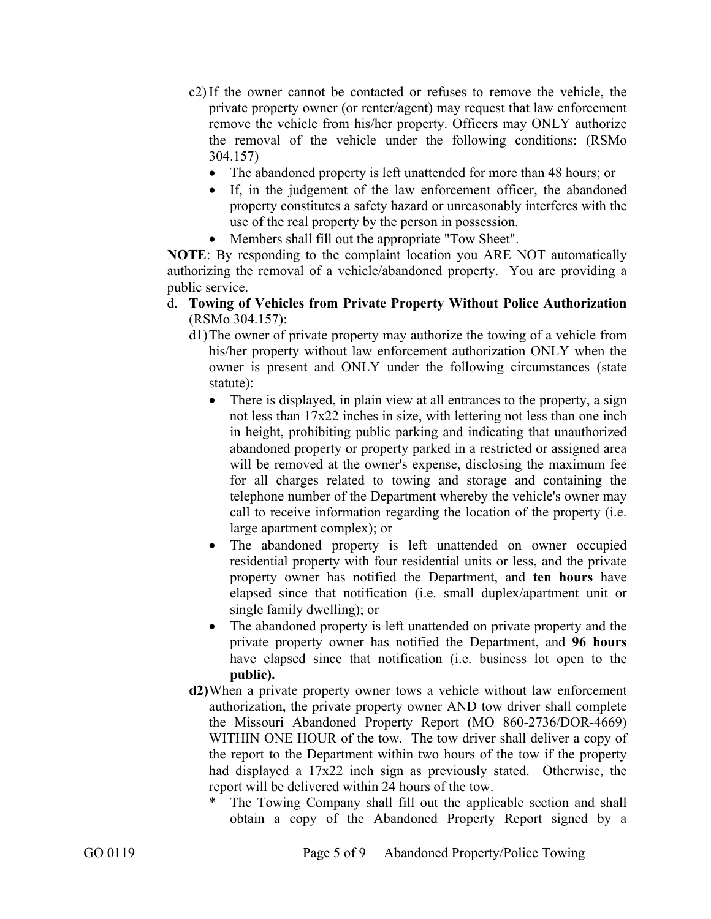- c2) If the owner cannot be contacted or refuses to remove the vehicle, the private property owner (or renter/agent) may request that law enforcement remove the vehicle from his/her property. Officers may ONLY authorize the removal of the vehicle under the following conditions: (RSMo 304.157)
	- The abandoned property is left unattended for more than 48 hours; or
	- If, in the judgement of the law enforcement officer, the abandoned property constitutes a safety hazard or unreasonably interferes with the use of the real property by the person in possession.
	- Members shall fill out the appropriate "Tow Sheet".

**NOTE**: By responding to the complaint location you ARE NOT automatically authorizing the removal of a vehicle/abandoned property. You are providing a public service.

- d. **Towing of Vehicles from Private Property Without Police Authorization**  (RSMo 304.157):
	- d1) The owner of private property may authorize the towing of a vehicle from his/her property without law enforcement authorization ONLY when the owner is present and ONLY under the following circumstances (state statute):
		- There is displayed, in plain view at all entrances to the property, a sign not less than 17x22 inches in size, with lettering not less than one inch in height, prohibiting public parking and indicating that unauthorized abandoned property or property parked in a restricted or assigned area will be removed at the owner's expense, disclosing the maximum fee for all charges related to towing and storage and containing the telephone number of the Department whereby the vehicle's owner may call to receive information regarding the location of the property (i.e. large apartment complex); or
		- The abandoned property is left unattended on owner occupied residential property with four residential units or less, and the private property owner has notified the Department, and **ten hours** have elapsed since that notification (i.e. small duplex/apartment unit or single family dwelling); or
		- The abandoned property is left unattended on private property and the private property owner has notified the Department, and **96 hours** have elapsed since that notification (i.e. business lot open to the **public).**
	- **d2)** When a private property owner tows a vehicle without law enforcement authorization, the private property owner AND tow driver shall complete the Missouri Abandoned Property Report (MO 860-2736/DOR-4669) WITHIN ONE HOUR of the tow.The tow driver shall deliver a copy of the report to the Department within two hours of the tow if the property had displayed a 17x22 inch sign as previously stated. Otherwise, the report will be delivered within 24 hours of the tow.
		- The Towing Company shall fill out the applicable section and shall obtain a copy of the Abandoned Property Report signed by a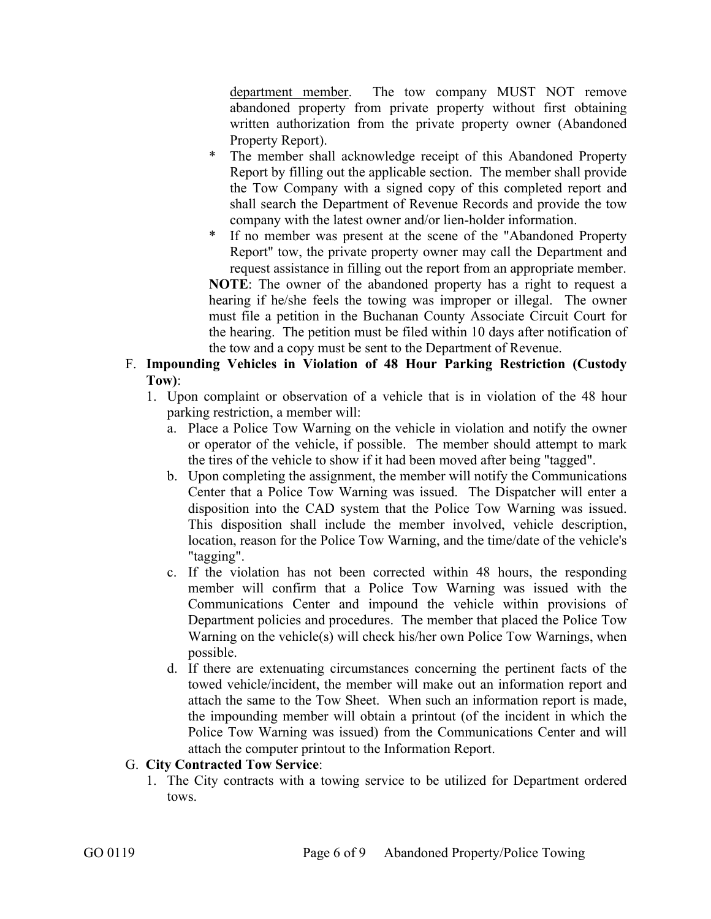department member. The tow company MUST NOT remove abandoned property from private property without first obtaining written authorization from the private property owner (Abandoned Property Report).

- The member shall acknowledge receipt of this Abandoned Property Report by filling out the applicable section. The member shall provide the Tow Company with a signed copy of this completed report and shall search the Department of Revenue Records and provide the tow company with the latest owner and/or lien-holder information.
- If no member was present at the scene of the "Abandoned Property Report" tow, the private property owner may call the Department and request assistance in filling out the report from an appropriate member.

**NOTE**: The owner of the abandoned property has a right to request a hearing if he/she feels the towing was improper or illegal. The owner must file a petition in the Buchanan County Associate Circuit Court for the hearing. The petition must be filed within 10 days after notification of the tow and a copy must be sent to the Department of Revenue.

- F. **Impounding Vehicles in Violation of 48 Hour Parking Restriction (Custody Tow)**:
	- 1. Upon complaint or observation of a vehicle that is in violation of the 48 hour parking restriction, a member will:
		- a. Place a Police Tow Warning on the vehicle in violation and notify the owner or operator of the vehicle, if possible. The member should attempt to mark the tires of the vehicle to show if it had been moved after being "tagged".
		- b. Upon completing the assignment, the member will notify the Communications Center that a Police Tow Warning was issued. The Dispatcher will enter a disposition into the CAD system that the Police Tow Warning was issued. This disposition shall include the member involved, vehicle description, location, reason for the Police Tow Warning, and the time/date of the vehicle's "tagging".
		- c. If the violation has not been corrected within 48 hours, the responding member will confirm that a Police Tow Warning was issued with the Communications Center and impound the vehicle within provisions of Department policies and procedures. The member that placed the Police Tow Warning on the vehicle(s) will check his/her own Police Tow Warnings, when possible.
		- d. If there are extenuating circumstances concerning the pertinent facts of the towed vehicle/incident, the member will make out an information report and attach the same to the Tow Sheet. When such an information report is made, the impounding member will obtain a printout (of the incident in which the Police Tow Warning was issued) from the Communications Center and will attach the computer printout to the Information Report.
- G. **City Contracted Tow Service**:
	- 1. The City contracts with a towing service to be utilized for Department ordered tows.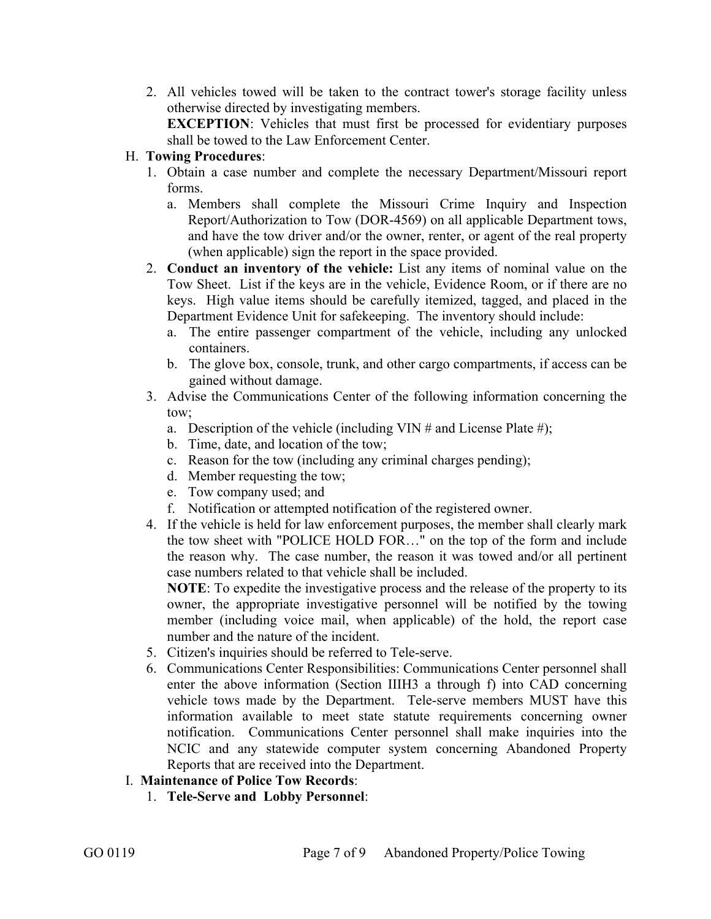2. All vehicles towed will be taken to the contract tower's storage facility unless otherwise directed by investigating members.

**EXCEPTION:** Vehicles that must first be processed for evidentiary purposes shall be towed to the Law Enforcement Center.

#### H. **Towing Procedures**:

- 1. Obtain a case number and complete the necessary Department/Missouri report forms.
	- a. Members shall complete the Missouri Crime Inquiry and Inspection Report/Authorization to Tow (DOR-4569) on all applicable Department tows, and have the tow driver and/or the owner, renter, or agent of the real property (when applicable) sign the report in the space provided.
- 2. **Conduct an inventory of the vehicle:** List any items of nominal value on the Tow Sheet. List if the keys are in the vehicle, Evidence Room, or if there are no keys. High value items should be carefully itemized, tagged, and placed in the Department Evidence Unit for safekeeping. The inventory should include:
	- a. The entire passenger compartment of the vehicle, including any unlocked containers.
	- b. The glove box, console, trunk, and other cargo compartments, if access can be gained without damage.
- 3. Advise the Communications Center of the following information concerning the tow;
	- a. Description of the vehicle (including VIN # and License Plate #);
	- b. Time, date, and location of the tow;
	- c. Reason for the tow (including any criminal charges pending);
	- d. Member requesting the tow;
	- e. Tow company used; and
	- f. Notification or attempted notification of the registered owner.
- 4. If the vehicle is held for law enforcement purposes, the member shall clearly mark the tow sheet with "POLICE HOLD FOR…" on the top of the form and include the reason why. The case number, the reason it was towed and/or all pertinent case numbers related to that vehicle shall be included.

**NOTE**: To expedite the investigative process and the release of the property to its owner, the appropriate investigative personnel will be notified by the towing member (including voice mail, when applicable) of the hold, the report case number and the nature of the incident.

- 5. Citizen's inquiries should be referred to Tele-serve.
- 6. Communications Center Responsibilities: Communications Center personnel shall enter the above information (Section IIIH3 a through f) into CAD concerning vehicle tows made by the Department. Tele-serve members MUST have this information available to meet state statute requirements concerning owner notification. Communications Center personnel shall make inquiries into the NCIC and any statewide computer system concerning Abandoned Property Reports that are received into the Department.

## I. **Maintenance of Police Tow Records**:

1. **Tele-Serve and Lobby Personnel**: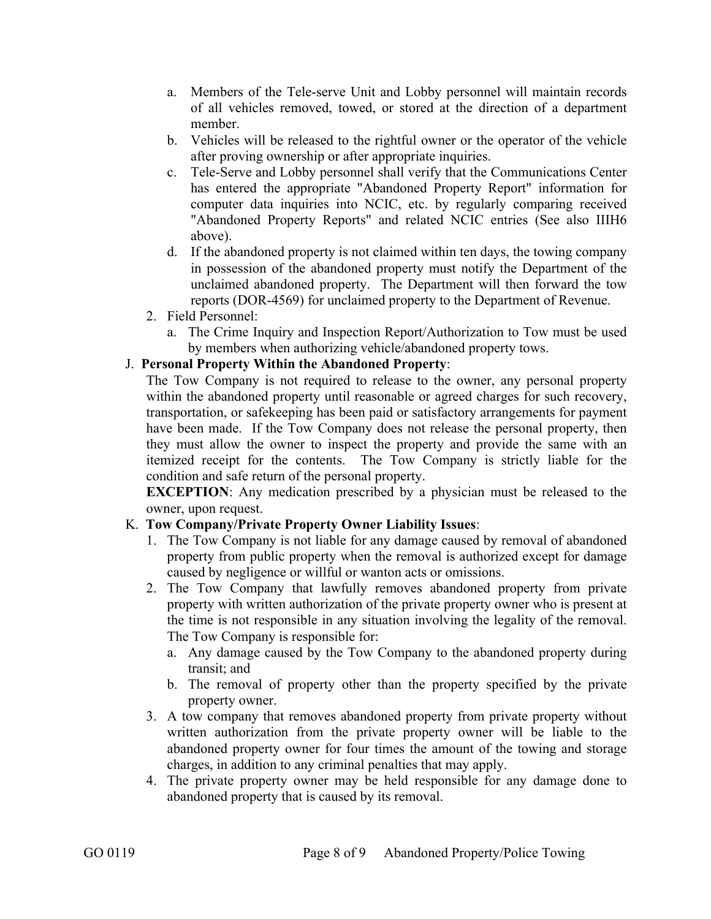- a. Members of the Tele-serve Unit and Lobby personnel will maintain records of all vehicles removed, towed, or stored at the direction of a department member.
- b. Vehicles will be released to the rightful owner or the operator of the vehicle after proving ownership or after appropriate inquiries.
- c. Tele-Serve and Lobby personnel shall verify that the Communications Center has entered the appropriate "Abandoned Property Report" information for computer data inquiries into NCIC, etc. by regularly comparing received "Abandoned Property Reports" and related NCIC entries (See also IIIH6 above).
- d. If the abandoned property is not claimed within ten days, the towing company in possession of the abandoned property must notify the Department of the unclaimed abandoned property. The Department will then forward the tow reports (DOR-4569) for unclaimed property to the Department of Revenue.
- 2. Field Personnel:
	- a. The Crime Inquiry and Inspection Report/Authorization to Tow must be used by members when authorizing vehicle/abandoned property tows.

#### J. **Personal Property Within the Abandoned Property**:

The Tow Company is not required to release to the owner, any personal property within the abandoned property until reasonable or agreed charges for such recovery, transportation, or safekeeping has been paid or satisfactory arrangements for payment have been made. If the Tow Company does not release the personal property, then they must allow the owner to inspect the property and provide the same with an itemized receipt for the contents. The Tow Company is strictly liable for the condition and safe return of the personal property.

**EXCEPTION:** Any medication prescribed by a physician must be released to the owner, upon request.

#### K. **Tow Company/Private Property Owner Liability Issues**:

- 1. The Tow Company is not liable for any damage caused by removal of abandoned property from public property when the removal is authorized except for damage caused by negligence or willful or wanton acts or omissions.
- 2. The Tow Company that lawfully removes abandoned property from private property with written authorization of the private property owner who is present at the time is not responsible in any situation involving the legality of the removal. The Tow Company is responsible for:
	- a. Any damage caused by the Tow Company to the abandoned property during transit; and
	- b. The removal of property other than the property specified by the private property owner.
- 3. A tow company that removes abandoned property from private property without written authorization from the private property owner will be liable to the abandoned property owner for four times the amount of the towing and storage charges, in addition to any criminal penalties that may apply.
- 4. The private property owner may be held responsible for any damage done to abandoned property that is caused by its removal.